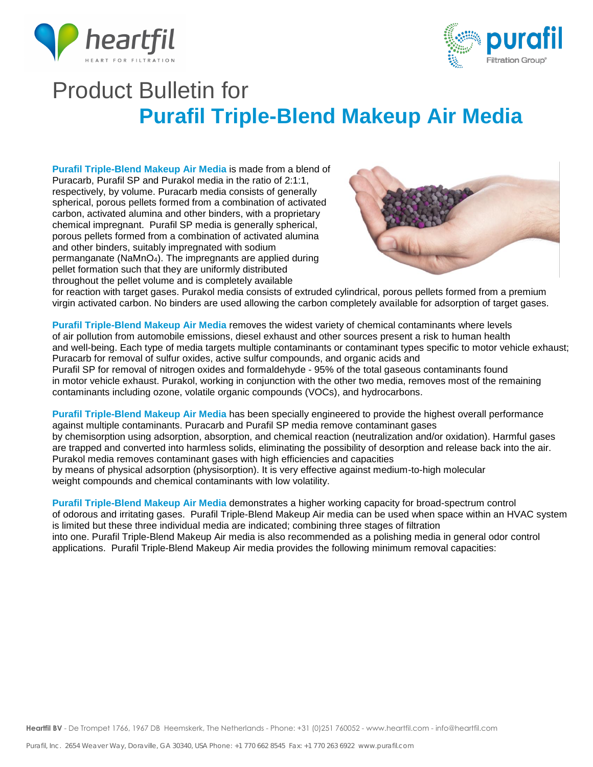



# Product Bulletin for **Purafil Triple-Blend Makeup Air Media**

**Purafil Triple-Blend Makeup Air Media** is made from a blend of Puracarb, Purafil SP and Purakol media in the ratio of 2:1:1, respectively, by volume. Puracarb media consists of generally spherical, porous pellets formed from a combination of activated carbon, activated alumina and other binders, with a proprietary chemical impregnant. Purafil SP media is generally spherical, porous pellets formed from a combination of activated alumina and other binders, suitably impregnated with sodium permanganate (NaMnO4). The impregnants are applied during pellet formation such that they are uniformly distributed throughout the pellet volume and is completely available



for reaction with target gases. Purakol media consists of extruded cylindrical, porous pellets formed from a premium virgin activated carbon. No binders are used allowing the carbon completely available for adsorption of target gases.

**Purafil Triple-Blend Makeup Air Media** removes the widest variety of chemical contaminants where levels of air pollution from automobile emissions, diesel exhaust and other sources present a risk to human health and well-being. Each type of media targets multiple contaminants or contaminant types specific to motor vehicle exhaust; Puracarb for removal of sulfur oxides, active sulfur compounds, and organic acids and Purafil SP for removal of nitrogen oxides and formaldehyde - 95% of the total gaseous contaminants found in motor vehicle exhaust. Purakol, working in conjunction with the other two media, removes most of the remaining contaminants including ozone, volatile organic compounds (VOCs), and hydrocarbons.

**Purafil Triple-Blend Makeup Air Media** has been specially engineered to provide the highest overall performance against multiple contaminants. Puracarb and Purafil SP media remove contaminant gases by chemisorption using adsorption, absorption, and chemical reaction (neutralization and/or oxidation). Harmful gases are trapped and converted into harmless solids, eliminating the possibility of desorption and release back into the air. Purakol media removes contaminant gases with high efficiencies and capacities by means of physical adsorption (physisorption). It is very effective against medium-to-high molecular weight compounds and chemical contaminants with low volatility.

**Purafil Triple-Blend Makeup Air Media** demonstrates a higher working capacity for broad-spectrum control of odorous and irritating gases. Purafil Triple-Blend Makeup Air media can be used when space within an HVAC system is limited but these three individual media are indicated; combining three stages of filtration into one. Purafil Triple-Blend Makeup Air media is also recommended as a polishing media in general odor control applications. Purafil Triple-Blend Makeup Air media provides the following minimum removal capacities: